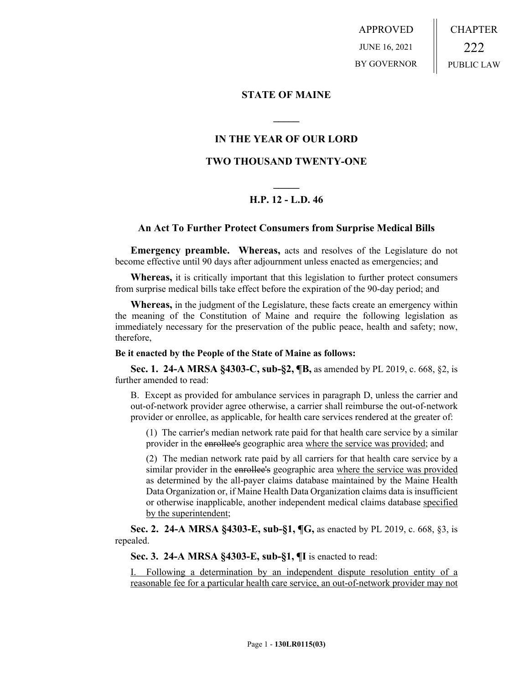APPROVED JUNE 16, 2021 BY GOVERNOR CHAPTER 222 PUBLIC LAW

## **STATE OF MAINE**

## **IN THE YEAR OF OUR LORD**

**\_\_\_\_\_**

## **TWO THOUSAND TWENTY-ONE**

# **\_\_\_\_\_ H.P. 12 - L.D. 46**

### **An Act To Further Protect Consumers from Surprise Medical Bills**

**Emergency preamble. Whereas,** acts and resolves of the Legislature do not become effective until 90 days after adjournment unless enacted as emergencies; and

**Whereas,** it is critically important that this legislation to further protect consumers from surprise medical bills take effect before the expiration of the 90-day period; and

**Whereas,** in the judgment of the Legislature, these facts create an emergency within the meaning of the Constitution of Maine and require the following legislation as immediately necessary for the preservation of the public peace, health and safety; now, therefore,

#### **Be it enacted by the People of the State of Maine as follows:**

**Sec. 1. 24-A MRSA §4303-C, sub-§2, ¶B,** as amended by PL 2019, c. 668, §2, is further amended to read:

B. Except as provided for ambulance services in paragraph D, unless the carrier and out-of-network provider agree otherwise, a carrier shall reimburse the out-of-network provider or enrollee, as applicable, for health care services rendered at the greater of:

(1) The carrier's median network rate paid for that health care service by a similar provider in the enrollee's geographic area where the service was provided; and

(2) The median network rate paid by all carriers for that health care service by a similar provider in the enrollee's geographic area where the service was provided as determined by the all-payer claims database maintained by the Maine Health Data Organization or, if Maine Health Data Organization claims data is insufficient or otherwise inapplicable, another independent medical claims database specified by the superintendent;

**Sec. 2. 24-A MRSA §4303-E, sub-§1, ¶G,** as enacted by PL 2019, c. 668, §3, is repealed.

**Sec. 3. 24-A MRSA §4303-E, sub-§1, ¶I** is enacted to read:

I. Following a determination by an independent dispute resolution entity of a reasonable fee for a particular health care service, an out-of-network provider may not